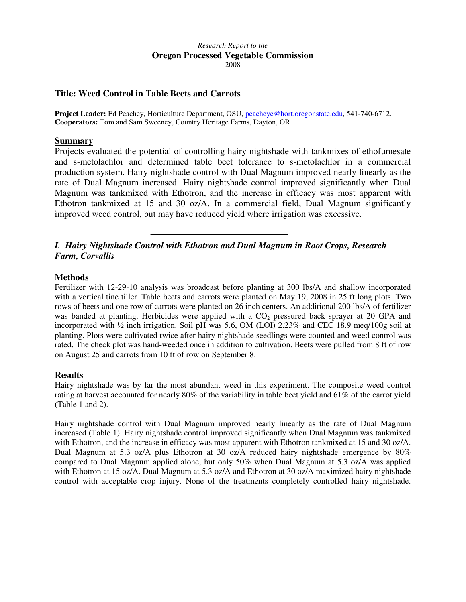#### *Research Report to the*  **Oregon Processed Vegetable Commission**  2008

### **Title: Weed Control in Table Beets and Carrots**

**Project Leader:** Ed Peachey, Horticulture Department, OSU, peacheye@hort.oregonstate.edu, 541-740-6712. **Cooperators:** Tom and Sam Sweeney, Country Heritage Farms, Dayton, OR

### **Summary**

Projects evaluated the potential of controlling hairy nightshade with tankmixes of ethofumesate and s-metolachlor and determined table beet tolerance to s-metolachlor in a commercial production system. Hairy nightshade control with Dual Magnum improved nearly linearly as the rate of Dual Magnum increased. Hairy nightshade control improved significantly when Dual Magnum was tankmixed with Ethotron, and the increase in efficacy was most apparent with Ethotron tankmixed at 15 and 30 oz/A. In a commercial field, Dual Magnum significantly improved weed control, but may have reduced yield where irrigation was excessive.

# *I. Hairy Nightshade Control with Ethotron and Dual Magnum in Root Crops, Research Farm, Corvallis*

### **Methods**

Fertilizer with 12-29-10 analysis was broadcast before planting at 300 lbs/A and shallow incorporated with a vertical tine tiller. Table beets and carrots were planted on May 19, 2008 in 25 ft long plots. Two rows of beets and one row of carrots were planted on 26 inch centers. An additional 200 lbs/A of fertilizer was banded at planting. Herbicides were applied with a CO<sub>2</sub> pressured back sprayer at 20 GPA and incorporated with ½ inch irrigation. Soil pH was 5.6, OM (LOI) 2.23% and CEC 18.9 meq/100g soil at planting. Plots were cultivated twice after hairy nightshade seedlings were counted and weed control was rated. The check plot was hand-weeded once in addition to cultivation. Beets were pulled from 8 ft of row on August 25 and carrots from 10 ft of row on September 8.

### **Results**

Hairy nightshade was by far the most abundant weed in this experiment. The composite weed control rating at harvest accounted for nearly 80% of the variability in table beet yield and 61% of the carrot yield (Table 1 and 2).

Hairy nightshade control with Dual Magnum improved nearly linearly as the rate of Dual Magnum increased (Table 1). Hairy nightshade control improved significantly when Dual Magnum was tankmixed with Ethotron, and the increase in efficacy was most apparent with Ethotron tankmixed at 15 and 30 oz/A. Dual Magnum at 5.3 oz/A plus Ethotron at 30 oz/A reduced hairy nightshade emergence by 80% compared to Dual Magnum applied alone, but only 50% when Dual Magnum at 5.3 oz/A was applied with Ethotron at 15 oz/A. Dual Magnum at 5.3 oz/A and Ethotron at 30 oz/A maximized hairy nightshade control with acceptable crop injury. None of the treatments completely controlled hairy nightshade.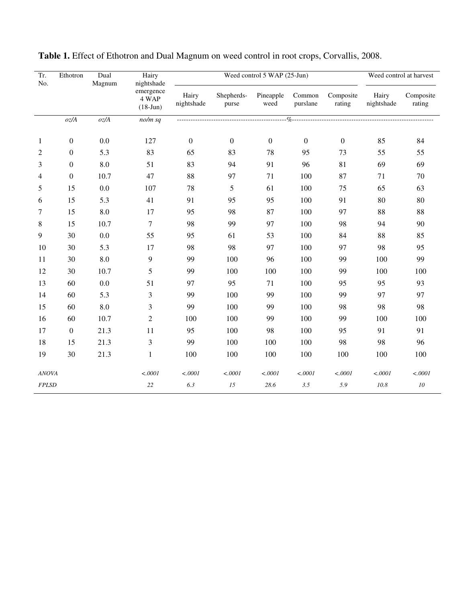| Tr.<br>No.   | Ethotron         | Dual<br>Magnum | Hairy<br>nightshade              |                     | Weed control 5 WAP (25-Jun) | Weed control at harvest |                    |                     |                     |                     |
|--------------|------------------|----------------|----------------------------------|---------------------|-----------------------------|-------------------------|--------------------|---------------------|---------------------|---------------------|
|              |                  |                | emergence<br>4 WAP<br>$(18-Jun)$ | Hairy<br>nightshade | Shepherds-<br>purse         | Pineapple<br>weed       | Common<br>purslane | Composite<br>rating | Hairy<br>nightshade | Composite<br>rating |
|              | oz/A             | oz/A           | $no/m$ sq                        |                     |                             |                         |                    |                     |                     |                     |
| 1            | $\boldsymbol{0}$ | 0.0            | 127                              | $\boldsymbol{0}$    | $\boldsymbol{0}$            | $\mathbf{0}$            | $\boldsymbol{0}$   | $\overline{0}$      | 85                  | 84                  |
| 2            | $\boldsymbol{0}$ | 5.3            | 83                               | 65                  | 83                          | 78                      | 95                 | 73                  | 55                  | 55                  |
| 3            | $\boldsymbol{0}$ | 8.0            | 51                               | 83                  | 94                          | 91                      | 96                 | 81                  | 69                  | 69                  |
| 4            | $\boldsymbol{0}$ | 10.7           | 47                               | 88                  | 97                          | 71                      | 100                | 87                  | 71                  | 70                  |
| 5            | 15               | 0.0            | 107                              | 78                  | 5                           | 61                      | 100                | 75                  | 65                  | 63                  |
| 6            | 15               | 5.3            | 41                               | 91                  | 95                          | 95                      | 100                | 91                  | 80                  | 80                  |
| 7            | 15               | $8.0\,$        | 17                               | 95                  | 98                          | 87                      | 100                | 97                  | 88                  | 88                  |
| $\,8\,$      | 15               | 10.7           | $\boldsymbol{7}$                 | 98                  | 99                          | 97                      | 100                | 98                  | 94                  | 90                  |
| 9            | 30               | 0.0            | 55                               | 95                  | 61                          | 53                      | 100                | 84                  | 88                  | 85                  |
| 10           | 30               | 5.3            | 17                               | 98                  | 98                          | 97                      | 100                | 97                  | 98                  | 95                  |
| 11           | 30               | $8.0\,$        | $\boldsymbol{9}$                 | 99                  | 100                         | 96                      | 100                | 99                  | 100                 | 99                  |
| 12           | 30               | 10.7           | 5                                | 99                  | 100                         | 100                     | 100                | 99                  | 100                 | 100                 |
| 13           | 60               | 0.0            | 51                               | 97                  | 95                          | 71                      | 100                | 95                  | 95                  | 93                  |
| 14           | 60               | 5.3            | 3                                | 99                  | 100                         | 99                      | 100                | 99                  | 97                  | 97                  |
| 15           | 60               | $8.0\,$        | 3                                | 99                  | 100                         | 99                      | 100                | 98                  | 98                  | 98                  |
| 16           | 60               | 10.7           | $\mathfrak{2}$                   | 100                 | 100                         | 99                      | 100                | 99                  | 100                 | 100                 |
| 17           | $\boldsymbol{0}$ | 21.3           | 11                               | 95                  | 100                         | 98                      | 100                | 95                  | 91                  | 91                  |
| 18           | 15               | 21.3           | 3                                | 99                  | 100                         | 100                     | 100                | 98                  | 98                  | 96                  |
| 19           | 30               | 21.3           | $\mathbf{1}$                     | 100                 | 100                         | 100                     | 100                | 100                 | 100                 | 100                 |
| ANOVA        |                  |                | < .0001                          | < .0001             | < .0001                     | $<.0001$                | < .0001            | < .0001             | < .0001             | < .0001             |
| <b>FPLSD</b> |                  |                | $22\,$                           | 6.3                 | 15                          | 28.6                    | $3.5\,$            | 5.9                 | 10.8                | ${\it 10}$          |

| Table 1. Effect of Ethotron and Dual Magnum on weed control in root crops, Corvallis, 2008. |  |
|---------------------------------------------------------------------------------------------|--|
|                                                                                             |  |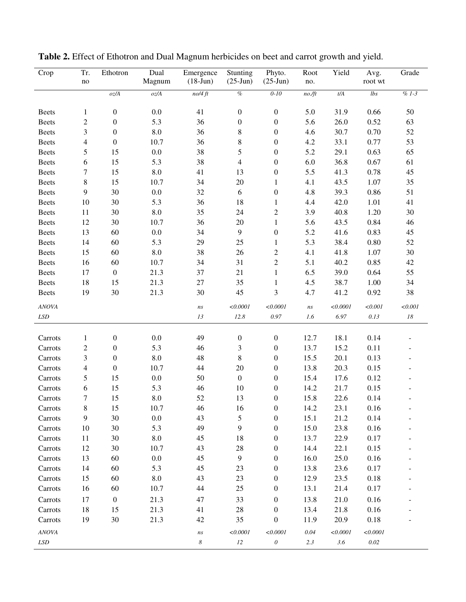| Crop             | Tr.<br>$\rm no$ | Ethotron         | Dual<br>Magnum     | Emergence<br>$(18-Jun)$         | Stunting<br>$(25-Jun)$   | Phyto.<br>$(25-Jun)$  | Root<br>no.       | Yield    | Avg.<br>root wt | Grade   |
|------------------|-----------------|------------------|--------------------|---------------------------------|--------------------------|-----------------------|-------------------|----------|-----------------|---------|
|                  |                 | $oz/A$           | oz/A               | no/4 ft                         | $\%$                     | $0 - 10$              | no.f <sub>t</sub> | t/A      | lbs             | $% 1-3$ |
| <b>Beets</b>     | $\mathbf{1}$    | $\boldsymbol{0}$ | 0.0                | 41                              | $\boldsymbol{0}$         | $\boldsymbol{0}$      | 5.0               | 31.9     | 0.66            | 50      |
| <b>Beets</b>     | $\mathfrak{2}$  | $\boldsymbol{0}$ | 5.3                | 36                              | $\boldsymbol{0}$         | $\boldsymbol{0}$      | 5.6               | 26.0     | 0.52            | 63      |
| <b>Beets</b>     | 3               | $\boldsymbol{0}$ | 8.0                | 36                              | 8                        | $\boldsymbol{0}$      | 4.6               | 30.7     | 0.70            | 52      |
| <b>Beets</b>     | $\overline{4}$  | $\boldsymbol{0}$ | 10.7               | 36                              | 8                        | $\boldsymbol{0}$      | 4.2               | 33.1     | 0.77            | 53      |
| <b>Beets</b>     | 5               | 15               | $0.0\,$            | 38                              | 5                        | $\boldsymbol{0}$      | 5.2               | 29.1     | 0.63            | 65      |
| <b>Beets</b>     | 6               | 15               | 5.3                | 38                              | $\overline{\mathcal{A}}$ | $\boldsymbol{0}$      | 6.0               | 36.8     | 0.67            | 61      |
| <b>Beets</b>     | 7               | 15               | 8.0                | 41                              | 13                       | $\boldsymbol{0}$      | 5.5               | 41.3     | 0.78            | 45      |
| <b>Beets</b>     | $\,8\,$         | 15               | 10.7               | 34                              | 20                       | 1                     | 4.1               | 43.5     | 1.07            | 35      |
| <b>Beets</b>     | 9               | 30               | 0.0                | 32                              | $6\,$                    | $\boldsymbol{0}$      | 4.8               | 39.3     | 0.86            | 51      |
| <b>Beets</b>     | 10              | 30               | 5.3                | 36                              | 18                       | $\mathbf{1}$          | 4.4               | 42.0     | 1.01            | 41      |
| <b>Beets</b>     | 11              | 30               | 8.0                | 35                              | 24                       | $\overline{c}$        | 3.9               | 40.8     | 1.20            | 30      |
| <b>Beets</b>     | 12              | 30               | 10.7               | 36                              | 20                       | $\,1\,$               | 5.6               | 43.5     | 0.84            | 46      |
| <b>Beets</b>     | 13              | 60               | $0.0\,$            | 34                              | 9                        | $\boldsymbol{0}$      | 5.2               | 41.6     | 0.83            | 45      |
| <b>Beets</b>     | 14              | 60               | 5.3                | 29                              | 25                       | $\mathbf{1}$          | 5.3               | 38.4     | 0.80            | 52      |
| <b>Beets</b>     | 15              | 60               | $\boldsymbol{8.0}$ | 38                              | 26                       | $\overline{c}$        | 4.1               | 41.8     | 1.07            | 30      |
| <b>Beets</b>     | 16              | 60               | 10.7               | 34                              | 31                       | $\overline{c}$        | 5.1               | 40.2     | 0.85            | 42      |
| <b>Beets</b>     | 17              | $\boldsymbol{0}$ | 21.3               | 37                              | 21                       | $\mathbf 1$           | 6.5               | 39.0     | 0.64            | 55      |
| <b>Beets</b>     | 18              | 15               | 21.3               | 27                              | 35                       | $\mathbf{1}$          | 4.5               | 38.7     | 1.00            | 34      |
| <b>Beets</b>     | 19              | 30               | 21.3               | 30                              | 45                       | $\mathfrak{Z}$        | 4.7               | 41.2     | 0.92            | 38      |
| <b>ANOVA</b>     |                 |                  |                    | $\sqrt{n}S$                     | < 0.0001                 | < 0.0001              | ns                | < 0.0001 | < 0.001         | < 0.001 |
| <b>LSD</b>       |                 |                  |                    | 13                              | 12.8                     | $0.97\,$              | 1.6               | $6.97\,$ | $0.13\,$        | 18      |
|                  |                 |                  |                    |                                 |                          |                       |                   |          |                 |         |
| Carrots          | $\mathbf{1}$    | $\boldsymbol{0}$ | 0.0                | 49                              | $\boldsymbol{0}$         | $\boldsymbol{0}$      | 12.7              | 18.1     | 0.14            |         |
| Carrots          | $\overline{c}$  | $\boldsymbol{0}$ | 5.3                | 46                              | 3                        | $\boldsymbol{0}$      | 13.7              | 15.2     | 0.11            |         |
| Carrots          | 3               | $\boldsymbol{0}$ | 8.0                | 48                              | $8\,$                    | $\boldsymbol{0}$      | 15.5              | 20.1     | 0.13            |         |
| Carrots          | 4               | $\boldsymbol{0}$ | 10.7               | 44                              | 20                       | $\boldsymbol{0}$      | 13.8              | 20.3     | 0.15            |         |
| Carrots          | 5               | 15               | 0.0                | 50                              | $\boldsymbol{0}$         | $\boldsymbol{0}$      | 15.4              | 17.6     | 0.12            |         |
| Carrots          | 6               | 15               | 5.3                | 46                              | 10                       | $\boldsymbol{0}$      | 14.2              | 21.7     | 0.15            |         |
| Carrots          | 7               | 15               | 8.0                | 52                              | 13                       | $\boldsymbol{0}$      | 15.8              | 22.6     | 0.14            |         |
| $\mbox{Carcots}$ | $\,8\,$         | 15               | 10.7               | 46                              | 16                       | $\boldsymbol{0}$      | 14.2              | 23.1     | 0.16            |         |
| Carrots          | 9               | 30               | 0.0                | 43                              | 5                        | $\boldsymbol{0}$      | 15.1              | 21.2     | 0.14            |         |
| Carrots          | 10              | 30               | 5.3                | 49                              | 9                        | $\boldsymbol{0}$      | 15.0              | 23.8     | 0.16            |         |
| Carrots          | 11              | 30               | $8.0\,$            | 45                              | 18                       | $\boldsymbol{0}$      | 13.7              | 22.9     | 0.17            |         |
| Carrots          | 12              | 30               | 10.7               | 43                              | 28                       | $\boldsymbol{0}$      | 14.4              | 22.1     | 0.15            |         |
| Carrots          | 13              | 60               | 0.0                | 45                              | $\overline{9}$           | $\boldsymbol{0}$      | 16.0              | 25.0     | 0.16            |         |
| Carrots          | 14              | 60               | 5.3                | 45                              | 23                       | $\boldsymbol{0}$      | 13.8              | 23.6     | 0.17            |         |
| Carrots          | 15              | 60               | $\ \, 8.0$         | 43                              | 23                       | $\boldsymbol{0}$      | 12.9              | 23.5     | 0.18            |         |
| Carrots          | 16              | 60               | 10.7               | 44                              | 25                       | $\boldsymbol{0}$      | 13.1              | 21.4     | 0.17            |         |
| Carrots          | 17              | $\boldsymbol{0}$ | 21.3               | 47                              | 33                       | $\boldsymbol{0}$      | 13.8              | 21.0     | 0.16            |         |
| Carrots          | 18              | 15               | 21.3               | 41                              | 28                       | $\boldsymbol{0}$      | 13.4              | 21.8     | 0.16            |         |
| Carrots          | 19              | 30               | 21.3               | 42                              | 35                       | $\boldsymbol{0}$      | 11.9              | 20.9     | 0.18            |         |
| <b>ANOVA</b>     |                 |                  |                    |                                 | < 0.0001                 | < 0.0001              | $0.04\,$          | < 0.0001 | < 0.0001        |         |
| $LSD$            |                 |                  |                    | $\sqrt{n}S$<br>$\boldsymbol{8}$ | $12\,$                   | $\boldsymbol{\theta}$ | 2.3               | 3.6      | $0.02\,$        |         |
|                  |                 |                  |                    |                                 |                          |                       |                   |          |                 |         |

**Table 2.** Effect of Ethotron and Dual Magnum herbicides on beet and carrot growth and yield.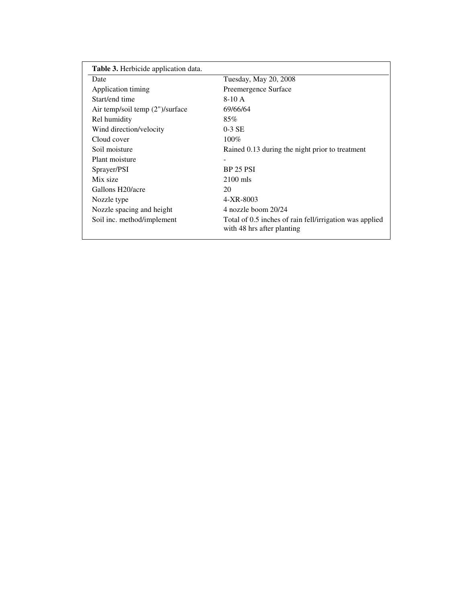| <b>Table 3.</b> Herbicide application data. |                                                                                       |
|---------------------------------------------|---------------------------------------------------------------------------------------|
| Date                                        | Tuesday, May 20, 2008                                                                 |
| Application timing                          | Preemergence Surface                                                                  |
| Start/end time                              | $8-10A$                                                                               |
| Air temp/soil temp (2")/surface             | 69/66/64                                                                              |
| Rel humidity                                | 85%                                                                                   |
| Wind direction/velocity                     | $0-3$ SE                                                                              |
| Cloud cover                                 | $100\%$                                                                               |
| Soil moisture                               | Rained 0.13 during the night prior to treatment                                       |
| Plant moisture                              |                                                                                       |
| Sprayer/PSI                                 | <b>BP 25 PSI</b>                                                                      |
| Mix size                                    | $2100$ mls                                                                            |
| Gallons H20/acre                            | 20                                                                                    |
| Nozzle type                                 | 4-XR-8003                                                                             |
| Nozzle spacing and height                   | 4 nozzle boom 20/24                                                                   |
| Soil inc. method/implement                  | Total of 0.5 inches of rain fell/irrigation was applied<br>with 48 hrs after planting |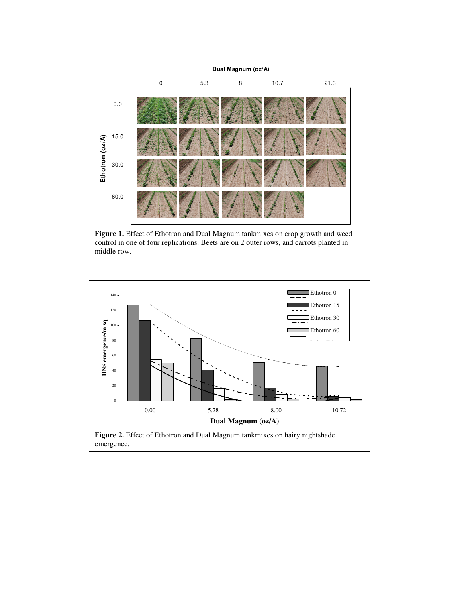

control in one of four replications. Beets are on 2 outer rows, and carrots planted in middle row.